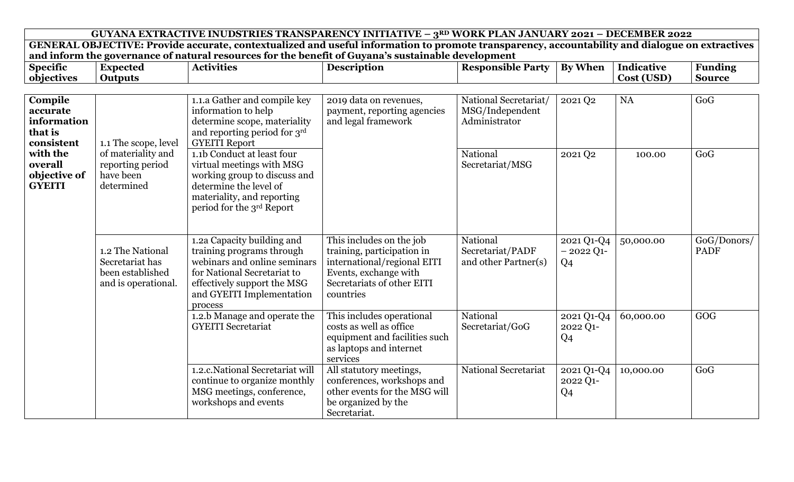|                                                             |                                                                                |                                                                                                                                                                                               | GUYANA EXTRACTIVE INUDSTRIES TRANSPARENCY INITIATIVE - 3RD WORK PLAN JANUARY 2021 - DECEMBER 2022                                                         |                                                           |                                             |            |                            |
|-------------------------------------------------------------|--------------------------------------------------------------------------------|-----------------------------------------------------------------------------------------------------------------------------------------------------------------------------------------------|-----------------------------------------------------------------------------------------------------------------------------------------------------------|-----------------------------------------------------------|---------------------------------------------|------------|----------------------------|
|                                                             |                                                                                |                                                                                                                                                                                               | GENERAL OBJECTIVE: Provide accurate, contextualized and useful information to promote transparency, accountability and dialogue on extractives            |                                                           |                                             |            |                            |
|                                                             |                                                                                |                                                                                                                                                                                               | and inform the governance of natural resources for the benefit of Guyana's sustainable development                                                        |                                                           |                                             |            |                            |
| <b>Specific</b>                                             | <b>Expected</b>                                                                | <b>Activities</b>                                                                                                                                                                             | <b>Description</b>                                                                                                                                        | <b>Responsible Party</b>                                  | <b>By When</b>                              | Indicative | <b>Funding</b>             |
| objectives                                                  | <b>Outputs</b>                                                                 |                                                                                                                                                                                               |                                                                                                                                                           |                                                           |                                             | Cost (USD) | <b>Source</b>              |
| Compile<br>accurate<br>information<br>that is<br>consistent | 1.1 The scope, level                                                           | 1.1.a Gather and compile key<br>information to help<br>determine scope, materiality<br>and reporting period for 3rd<br><b>GYEITI Report</b>                                                   | 2019 data on revenues,<br>payment, reporting agencies<br>and legal framework                                                                              | National Secretariat/<br>MSG/Independent<br>Administrator | 2021 Q2                                     | <b>NA</b>  | GoG                        |
| with the<br>overall<br>objective of<br><b>GYEITI</b>        | of materiality and<br>reporting period<br>have been<br>determined              | 1.1b Conduct at least four<br>virtual meetings with MSG<br>working group to discuss and<br>determine the level of<br>materiality, and reporting<br>period for the 3rd Report                  |                                                                                                                                                           | National<br>Secretariat/MSG                               | 2021 Q2                                     | 100.00     | GoG                        |
|                                                             | 1.2 The National<br>Secretariat has<br>been established<br>and is operational. | 1.2a Capacity building and<br>training programs through<br>webinars and online seminars<br>for National Secretariat to<br>effectively support the MSG<br>and GYEITI Implementation<br>process | This includes on the job<br>training, participation in<br>international/regional EITI<br>Events, exchange with<br>Secretariats of other EITI<br>countries | National<br>Secretariat/PADF<br>and other Partner(s)      | 2021 Q1-Q4<br>$-2022$ Q1-<br>Q <sub>4</sub> | 50,000.00  | GoG/Donors/<br><b>PADF</b> |
|                                                             |                                                                                | 1.2.b Manage and operate the<br><b>GYEITI</b> Secretariat                                                                                                                                     | This includes operational<br>costs as well as office<br>equipment and facilities such<br>as laptops and internet<br>services                              | National<br>Secretariat/GoG                               | 2021 Q1-Q4<br>2022 Q1-<br>Q <sub>4</sub>    | 60,000.00  | GOG                        |
|                                                             |                                                                                | 1.2.c. National Secretariat will<br>continue to organize monthly<br>MSG meetings, conference,<br>workshops and events                                                                         | All statutory meetings,<br>conferences, workshops and<br>other events for the MSG will<br>be organized by the<br>Secretariat.                             | <b>National Secretariat</b>                               | 2021 Q1-Q4<br>2022 Q1-<br>Q <sub>4</sub>    | 10,000.00  | GoG                        |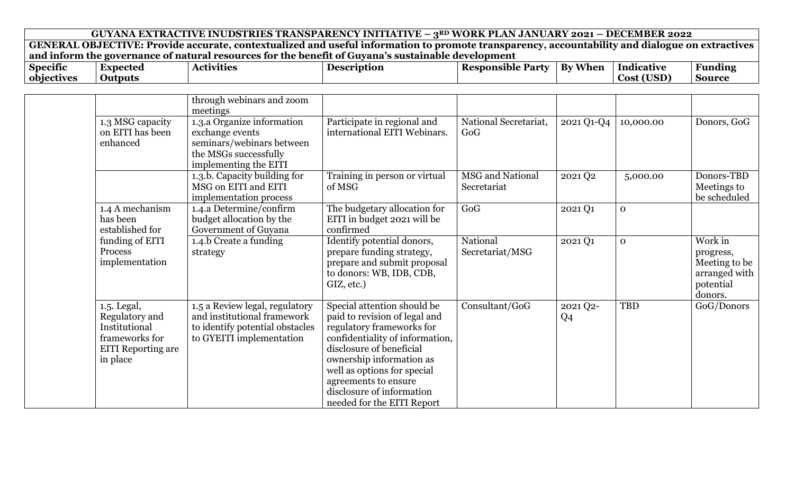| $\bullet$<br>$\sim$<br>Specific | Expected       | $\bullet$ . $\bullet$<br>- -<br>Actr<br>rvities | <b>Description</b> | Responsible<br>Party | ---<br>Bv<br>When | Indicative                   | $\overline{\phantom{a}}$<br>Funding |
|---------------------------------|----------------|-------------------------------------------------|--------------------|----------------------|-------------------|------------------------------|-------------------------------------|
| objectives                      | <b>Outputs</b> |                                                 |                    |                      |                   | $(TT\cap T)$<br>Cost<br>UJV. | Source                              |

|                                                                                                           | through webinars and zoom<br>meetings                                                                                        |                                                                                                                                                                                                                                                                                                        |                                 |                            |              |                                                                                |
|-----------------------------------------------------------------------------------------------------------|------------------------------------------------------------------------------------------------------------------------------|--------------------------------------------------------------------------------------------------------------------------------------------------------------------------------------------------------------------------------------------------------------------------------------------------------|---------------------------------|----------------------------|--------------|--------------------------------------------------------------------------------|
| 1.3 MSG capacity<br>on EITI has been<br>enhanced                                                          | 1.3.a Organize information<br>exchange events<br>seminars/webinars between<br>the MSGs successfully<br>implementing the EITI | Participate in regional and<br>international EITI Webinars.                                                                                                                                                                                                                                            | National Secretariat,<br>GoG    | 2021 Q1-Q4                 | 10,000.00    | Donors, GoG                                                                    |
|                                                                                                           | 1.3.b. Capacity building for<br>MSG on EITI and EITI<br>implementation process                                               | Training in person or virtual<br>of MSG                                                                                                                                                                                                                                                                | MSG and National<br>Secretariat | 2021 Q2                    | 5,000.00     | Donors-TBD<br>Meetings to<br>be scheduled                                      |
| 1.4 A mechanism<br>has been<br>established for                                                            | 1.4.a Determine/confirm<br>budget allocation by the<br>Government of Guyana                                                  | The budgetary allocation for<br>EITI in budget 2021 will be<br>confirmed                                                                                                                                                                                                                               | GoG                             | 2021 Q1                    | $\mathbf{0}$ |                                                                                |
| funding of EITI<br>Process<br>implementation                                                              | 1.4.b Create a funding<br>strategy                                                                                           | Identify potential donors,<br>prepare funding strategy,<br>prepare and submit proposal<br>to donors: WB, IDB, CDB,<br>GIZ, etc.)                                                                                                                                                                       | National<br>Secretariat/MSG     | 2021 Q1                    | $\mathbf{0}$ | Work in<br>progress,<br>Meeting to be<br>arranged with<br>potential<br>donors. |
| 1.5. Legal,<br>Regulatory and<br>Institutional<br>frameworks for<br><b>EITI</b> Reporting are<br>in place | 1.5 a Review legal, regulatory<br>and institutional framework<br>to identify potential obstacles<br>to GYEITI implementation | Special attention should be<br>paid to revision of legal and<br>regulatory frameworks for<br>confidentiality of information,<br>disclosure of beneficial<br>ownership information as<br>well as options for special<br>agreements to ensure<br>disclosure of information<br>needed for the EITI Report | Consultant/GoG                  | 2021 Q2-<br>Q <sub>4</sub> | TBD          | GoG/Donors                                                                     |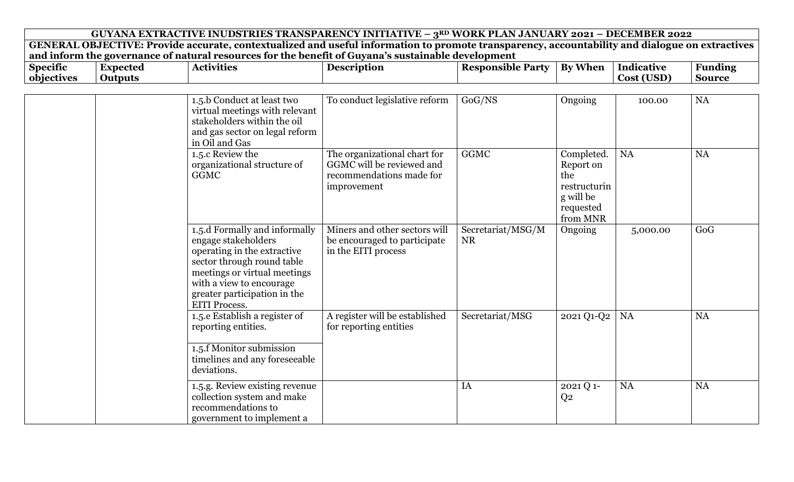| $\bullet$<br><b>Specific</b> | Expected | - -<br>vīties<br>. | . Loc $\bm{\epsilon}$ | Reen<br>…nonsible :<br>Par | ---<br>$\mathbf{R}\mathbf{v}$<br><b>When</b> | Indicative | $\overline{\phantom{0}}$<br>Andıng<br> |
|------------------------------|----------|--------------------|-----------------------|----------------------------|----------------------------------------------|------------|----------------------------------------|
| objectives                   |          |                    |                       |                            |                                              | COSI       | sourc@                                 |

| 1.5.b Conduct at least two<br>virtual meetings with relevant<br>stakeholders within the oil<br>and gas sector on legal reform<br>in Oil and Gas                                                                                       | To conduct legislative reform                                                                        | GoG/NS                         | Ongoing                                                                              | 100.00    | <b>NA</b> |
|---------------------------------------------------------------------------------------------------------------------------------------------------------------------------------------------------------------------------------------|------------------------------------------------------------------------------------------------------|--------------------------------|--------------------------------------------------------------------------------------|-----------|-----------|
| 1.5.c Review the<br>organizational structure of<br><b>GGMC</b>                                                                                                                                                                        | The organizational chart for<br>GGMC will be reviewed and<br>recommendations made for<br>improvement | <b>GGMC</b>                    | Completed.<br>Report on<br>the<br>restructurin<br>g will be<br>requested<br>from MNR | <b>NA</b> | <b>NA</b> |
| 1.5.d Formally and informally<br>engage stakeholders<br>operating in the extractive<br>sector through round table<br>meetings or virtual meetings<br>with a view to encourage<br>greater participation in the<br><b>EITI Process.</b> | Miners and other sectors will<br>be encouraged to participate<br>in the EITI process                 | Secretariat/MSG/M<br><b>NR</b> | Ongoing                                                                              | 5,000.00  | GoG       |
| 1.5.e Establish a register of<br>reporting entities.<br>1.5.f Monitor submission<br>timelines and any foreseeable<br>deviations.                                                                                                      | A register will be established<br>for reporting entities                                             | Secretariat/MSG                | 2021 Q1-Q2                                                                           | <b>NA</b> | <b>NA</b> |
| 1.5.g. Review existing revenue<br>collection system and make<br>recommendations to<br>government to implement a                                                                                                                       |                                                                                                      | IA                             | 2021 Q 1-<br>Q <sub>2</sub>                                                          | NA        | NA        |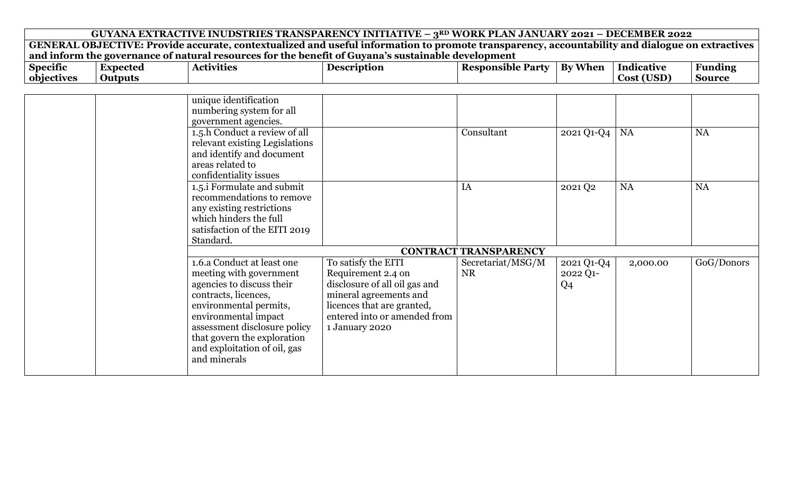|                                                                                                    | GUYANA EXTRACTIVE INUDSTRIES TRANSPARENCY INITIATIVE - 3RD WORK PLAN JANUARY 2021 - DECEMBER 2022 |                                                                                                                                                |                    |                              |                     |            |                |  |  |  |  |
|----------------------------------------------------------------------------------------------------|---------------------------------------------------------------------------------------------------|------------------------------------------------------------------------------------------------------------------------------------------------|--------------------|------------------------------|---------------------|------------|----------------|--|--|--|--|
|                                                                                                    |                                                                                                   | GENERAL OBJECTIVE: Provide accurate, contextualized and useful information to promote transparency, accountability and dialogue on extractives |                    |                              |                     |            |                |  |  |  |  |
| and inform the governance of natural resources for the benefit of Guyana's sustainable development |                                                                                                   |                                                                                                                                                |                    |                              |                     |            |                |  |  |  |  |
| <b>Specific</b>                                                                                    | <b>Expected</b>                                                                                   | <b>Activities</b>                                                                                                                              | <b>Description</b> | <b>Responsible Party</b>     | <b>By When</b>      | Indicative | <b>Funding</b> |  |  |  |  |
| objectives                                                                                         | <b>Outputs</b>                                                                                    |                                                                                                                                                |                    |                              |                     | Cost (USD) | <b>Source</b>  |  |  |  |  |
|                                                                                                    |                                                                                                   |                                                                                                                                                |                    |                              |                     |            |                |  |  |  |  |
|                                                                                                    |                                                                                                   | unique identification                                                                                                                          |                    |                              |                     |            |                |  |  |  |  |
|                                                                                                    |                                                                                                   | numbering system for all                                                                                                                       |                    |                              |                     |            |                |  |  |  |  |
|                                                                                                    |                                                                                                   | government agencies.                                                                                                                           |                    |                              |                     |            |                |  |  |  |  |
|                                                                                                    |                                                                                                   | 1.5.h Conduct a review of all                                                                                                                  |                    | Consultant                   | $2021$ Q1-Q4   NA   |            | <b>NA</b>      |  |  |  |  |
|                                                                                                    |                                                                                                   | relevant existing Legislations                                                                                                                 |                    |                              |                     |            |                |  |  |  |  |
|                                                                                                    |                                                                                                   | and identify and document                                                                                                                      |                    |                              |                     |            |                |  |  |  |  |
|                                                                                                    |                                                                                                   | areas related to                                                                                                                               |                    |                              |                     |            |                |  |  |  |  |
|                                                                                                    |                                                                                                   | confidentiality issues                                                                                                                         |                    |                              |                     |            |                |  |  |  |  |
|                                                                                                    |                                                                                                   | 1.5.1 Formulate and submit                                                                                                                     |                    | IA                           | 2021 Q <sub>2</sub> | <b>NA</b>  | <b>NA</b>      |  |  |  |  |
|                                                                                                    |                                                                                                   | recommendations to remove                                                                                                                      |                    |                              |                     |            |                |  |  |  |  |
|                                                                                                    |                                                                                                   | any existing restrictions                                                                                                                      |                    |                              |                     |            |                |  |  |  |  |
|                                                                                                    |                                                                                                   | which hinders the full                                                                                                                         |                    |                              |                     |            |                |  |  |  |  |
|                                                                                                    |                                                                                                   | satisfaction of the EITI 2019                                                                                                                  |                    |                              |                     |            |                |  |  |  |  |
|                                                                                                    |                                                                                                   | Standard.                                                                                                                                      |                    |                              |                     |            |                |  |  |  |  |
|                                                                                                    |                                                                                                   |                                                                                                                                                |                    | <b>CONTRACT TRANSPARENCY</b> |                     |            |                |  |  |  |  |

|  |                              |                               | <u>Contract Industrialist</u> |            |          |            |
|--|------------------------------|-------------------------------|-------------------------------|------------|----------|------------|
|  | 1.6.a Conduct at least one   | To satisfy the EITI           | Secretariat/MSG/M             | 2021 Q1-Q4 | 2,000.00 | GoG/Donors |
|  | meeting with government      | Requirement 2.4 on            | <b>NR</b>                     | 2022 Q1-   |          |            |
|  | agencies to discuss their    | disclosure of all oil gas and |                               | Q4         |          |            |
|  | contracts, licences,         | mineral agreements and        |                               |            |          |            |
|  | environmental permits,       | licences that are granted,    |                               |            |          |            |
|  | environmental impact         | entered into or amended from  |                               |            |          |            |
|  | assessment disclosure policy | 1 January 2020                |                               |            |          |            |
|  | that govern the exploration  |                               |                               |            |          |            |
|  | and exploitation of oil, gas |                               |                               |            |          |            |
|  | and minerals                 |                               |                               |            |          |            |
|  |                              |                               |                               |            |          |            |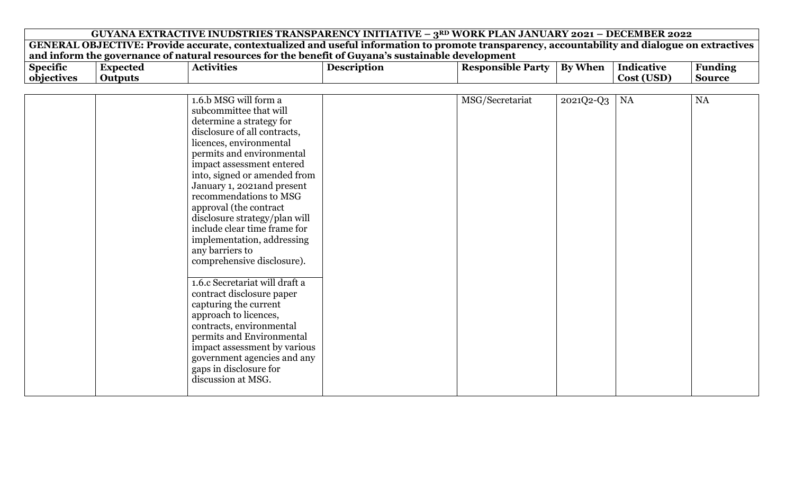| <b>Specific</b> | Expected | Activities | Description | Responsible | - Party | TAT<br>Kv.<br>' Wher | Indicative           | Funding |
|-----------------|----------|------------|-------------|-------------|---------|----------------------|----------------------|---------|
| objectives      | Output   |            |             |             |         |                      | اک0ت<br>. . <i>.</i> | Source  |

| 1.6.b MSG will form a          | MSG/Secretariat<br>2021Q2-Q3 | <b>NA</b> | <b>NA</b> |
|--------------------------------|------------------------------|-----------|-----------|
| subcommittee that will         |                              |           |           |
| determine a strategy for       |                              |           |           |
| disclosure of all contracts,   |                              |           |           |
| licences, environmental        |                              |           |           |
| permits and environmental      |                              |           |           |
| impact assessment entered      |                              |           |           |
| into, signed or amended from   |                              |           |           |
| January 1, 2021and present     |                              |           |           |
| recommendations to MSG         |                              |           |           |
| approval (the contract         |                              |           |           |
| disclosure strategy/plan will  |                              |           |           |
| include clear time frame for   |                              |           |           |
|                                |                              |           |           |
| implementation, addressing     |                              |           |           |
| any barriers to                |                              |           |           |
| comprehensive disclosure).     |                              |           |           |
|                                |                              |           |           |
| 1.6.c Secretariat will draft a |                              |           |           |
| contract disclosure paper      |                              |           |           |
| capturing the current          |                              |           |           |
| approach to licences,          |                              |           |           |
| contracts, environmental       |                              |           |           |
| permits and Environmental      |                              |           |           |
| impact assessment by various   |                              |           |           |
| government agencies and any    |                              |           |           |
| gaps in disclosure for         |                              |           |           |
| discussion at MSG.             |                              |           |           |
|                                |                              |           |           |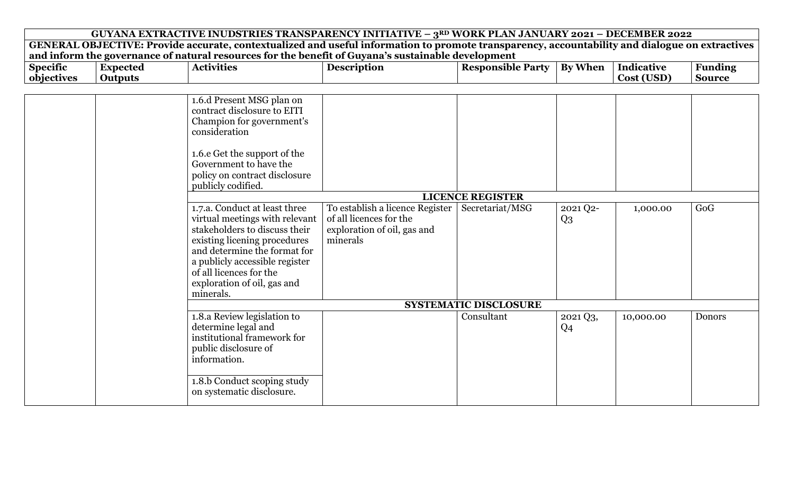| GUYANA EXTRACTIVE INUDSTRIES TRANSPARENCY INITIATIVE - 3RD WORK PLAN JANUARY 2021 - DECEMBER 2022 |                                                                                                                                                                                                                                                                                                                                                                                                                                                                                         |                                                                                                       |                          |                                                                                                                                                               |                                 |                                                                                                                                                |  |  |  |  |
|---------------------------------------------------------------------------------------------------|-----------------------------------------------------------------------------------------------------------------------------------------------------------------------------------------------------------------------------------------------------------------------------------------------------------------------------------------------------------------------------------------------------------------------------------------------------------------------------------------|-------------------------------------------------------------------------------------------------------|--------------------------|---------------------------------------------------------------------------------------------------------------------------------------------------------------|---------------------------------|------------------------------------------------------------------------------------------------------------------------------------------------|--|--|--|--|
|                                                                                                   |                                                                                                                                                                                                                                                                                                                                                                                                                                                                                         |                                                                                                       |                          |                                                                                                                                                               |                                 |                                                                                                                                                |  |  |  |  |
| <b>Expected</b><br><b>Outputs</b>                                                                 | <b>Activities</b>                                                                                                                                                                                                                                                                                                                                                                                                                                                                       | <b>Description</b>                                                                                    | <b>Responsible Party</b> | <b>By When</b>                                                                                                                                                | <b>Indicative</b><br>Cost (USD) | <b>Funding</b><br><b>Source</b>                                                                                                                |  |  |  |  |
|                                                                                                   | 1.6.d Present MSG plan on<br>contract disclosure to EITI<br>Champion for government's<br>consideration<br>1.6.e Get the support of the<br>Government to have the<br>policy on contract disclosure<br>publicly codified.<br>1.7.a. Conduct at least three<br>virtual meetings with relevant<br>stakeholders to discuss their<br>existing licening procedures<br>and determine the format for<br>a publicly accessible register<br>of all licences for the<br>exploration of oil, gas and | To establish a licence Register<br>of all licences for the<br>exploration of oil, gas and<br>minerals | Secretariat/MSG          | 2021 Q2-<br>$Q_3$                                                                                                                                             | 1,000.00                        | GoG                                                                                                                                            |  |  |  |  |
|                                                                                                   |                                                                                                                                                                                                                                                                                                                                                                                                                                                                                         |                                                                                                       |                          |                                                                                                                                                               |                                 |                                                                                                                                                |  |  |  |  |
|                                                                                                   | 1.8.a Review legislation to<br>determine legal and<br>institutional framework for<br>public disclosure of<br>information.<br>1.8.b Conduct scoping study                                                                                                                                                                                                                                                                                                                                |                                                                                                       | Consultant               | 2021 Q3,<br>Q <sub>4</sub>                                                                                                                                    | 10,000.00                       | <b>Donors</b>                                                                                                                                  |  |  |  |  |
|                                                                                                   |                                                                                                                                                                                                                                                                                                                                                                                                                                                                                         | minerals.<br>on systematic disclosure.                                                                |                          | and inform the governance of natural resources for the benefit of Guyana's sustainable development<br><b>LICENCE REGISTER</b><br><b>SYSTEMATIC DISCLOSURE</b> |                                 | GENERAL OBJECTIVE: Provide accurate, contextualized and useful information to promote transparency, accountability and dialogue on extractives |  |  |  |  |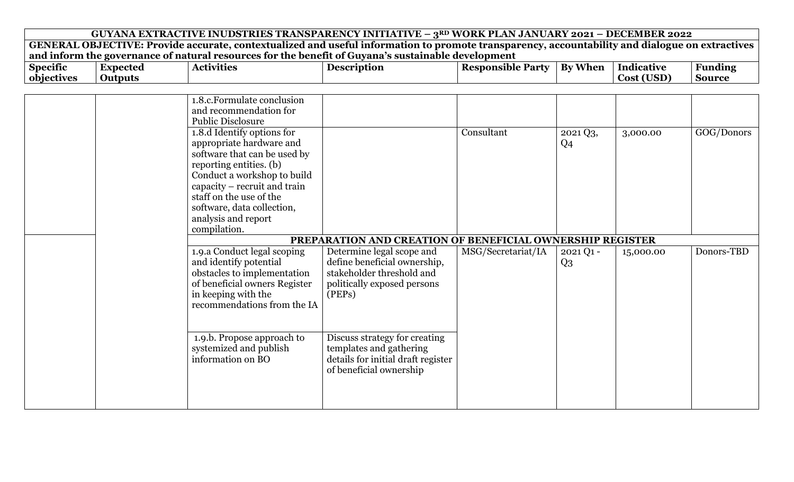|                               | GUYANA EXTRACTIVE INUDSTRIES TRANSPARENCY INITIATIVE - 3RD WORK PLAN JANUARY 2021 - DECEMBER 2022 |                                                                                                                                                                                                                                                                                  |                                                                                                                                 |                          |                            |                          |                                 |  |  |  |  |
|-------------------------------|---------------------------------------------------------------------------------------------------|----------------------------------------------------------------------------------------------------------------------------------------------------------------------------------------------------------------------------------------------------------------------------------|---------------------------------------------------------------------------------------------------------------------------------|--------------------------|----------------------------|--------------------------|---------------------------------|--|--|--|--|
|                               |                                                                                                   | GENERAL OBJECTIVE: Provide accurate, contextualized and useful information to promote transparency, accountability and dialogue on extractives                                                                                                                                   |                                                                                                                                 |                          |                            |                          |                                 |  |  |  |  |
| <b>Specific</b><br>objectives | <b>Expected</b><br><b>Outputs</b>                                                                 | and inform the governance of natural resources for the benefit of Guyana's sustainable development<br><b>Activities</b>                                                                                                                                                          | <b>Description</b>                                                                                                              | <b>Responsible Party</b> | <b>By When</b>             | Indicative<br>Cost (USD) | <b>Funding</b><br><b>Source</b> |  |  |  |  |
|                               |                                                                                                   |                                                                                                                                                                                                                                                                                  |                                                                                                                                 |                          |                            |                          |                                 |  |  |  |  |
|                               |                                                                                                   | 1.8.c. Formulate conclusion<br>and recommendation for<br><b>Public Disclosure</b>                                                                                                                                                                                                |                                                                                                                                 |                          |                            |                          |                                 |  |  |  |  |
|                               |                                                                                                   | 1.8.d Identify options for<br>appropriate hardware and<br>software that can be used by<br>reporting entities. (b)<br>Conduct a workshop to build<br>capacity – recruit and train<br>staff on the use of the<br>software, data collection,<br>analysis and report<br>compilation. |                                                                                                                                 | Consultant               | 2021 Q3,<br>Q <sub>4</sub> | 3,000.00                 | GOG/Donors                      |  |  |  |  |
|                               |                                                                                                   |                                                                                                                                                                                                                                                                                  | PREPARATION AND CREATION OF BENEFICIAL OWNERSHIP REGISTER                                                                       |                          |                            |                          |                                 |  |  |  |  |
|                               |                                                                                                   | 1.9.a Conduct legal scoping<br>and identify potential<br>obstacles to implementation<br>of beneficial owners Register<br>in keeping with the<br>recommendations from the IA                                                                                                      | Determine legal scope and<br>define beneficial ownership,<br>stakeholder threshold and<br>politically exposed persons<br>(PEPs) | MSG/Secretariat/IA       | $2021Q1 -$<br>$Q_3$        | 15,000.00                | Donors-TBD                      |  |  |  |  |
|                               |                                                                                                   | 1.9.b. Propose approach to<br>systemized and publish<br>information on BO                                                                                                                                                                                                        | Discuss strategy for creating<br>templates and gathering<br>details for initial draft register<br>of beneficial ownership       |                          |                            |                          |                                 |  |  |  |  |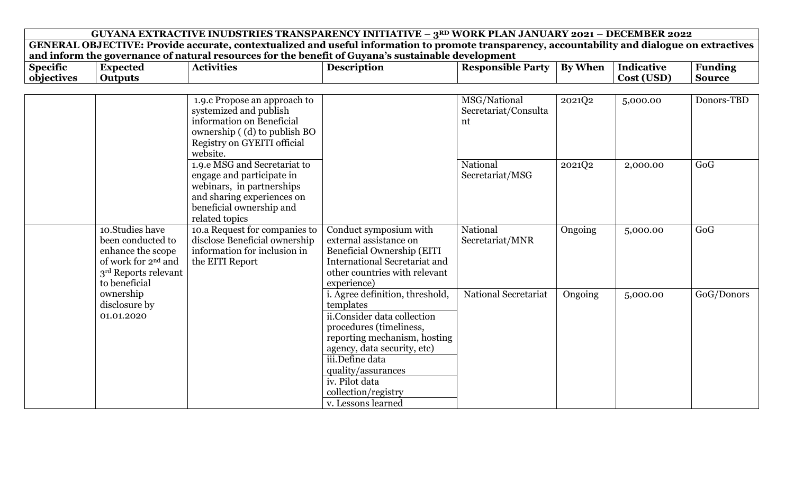| GUYANA EXTRACTIVE INUDSTRIES TRANSPARENCY INITIATIVE - 3RD WORK PLAN JANUARY 2021 - DECEMBER 2022<br>GENERAL OBJECTIVE: Provide accurate, contextualized and useful information to promote transparency, accountability and dialogue on extractives |                                                                                                                                       |                                                                                                                                                                    |                                                                                                                                                                                                                                                                               |                                            |                |            |                |  |  |  |
|-----------------------------------------------------------------------------------------------------------------------------------------------------------------------------------------------------------------------------------------------------|---------------------------------------------------------------------------------------------------------------------------------------|--------------------------------------------------------------------------------------------------------------------------------------------------------------------|-------------------------------------------------------------------------------------------------------------------------------------------------------------------------------------------------------------------------------------------------------------------------------|--------------------------------------------|----------------|------------|----------------|--|--|--|
|                                                                                                                                                                                                                                                     |                                                                                                                                       |                                                                                                                                                                    |                                                                                                                                                                                                                                                                               |                                            |                |            |                |  |  |  |
|                                                                                                                                                                                                                                                     |                                                                                                                                       |                                                                                                                                                                    | and inform the governance of natural resources for the benefit of Guyana's sustainable development                                                                                                                                                                            |                                            |                |            |                |  |  |  |
| <b>Specific</b>                                                                                                                                                                                                                                     | <b>Expected</b>                                                                                                                       | <b>Activities</b>                                                                                                                                                  | <b>Description</b>                                                                                                                                                                                                                                                            | <b>Responsible Party</b>                   | <b>By When</b> | Indicative | <b>Funding</b> |  |  |  |
| objectives                                                                                                                                                                                                                                          | <b>Outputs</b>                                                                                                                        |                                                                                                                                                                    |                                                                                                                                                                                                                                                                               |                                            |                | Cost (USD) | <b>Source</b>  |  |  |  |
|                                                                                                                                                                                                                                                     |                                                                                                                                       |                                                                                                                                                                    |                                                                                                                                                                                                                                                                               |                                            |                |            |                |  |  |  |
|                                                                                                                                                                                                                                                     |                                                                                                                                       | 1.9.c Propose an approach to<br>systemized and publish<br>information on Beneficial<br>ownership ((d) to publish BO<br>Registry on GYEITI official<br>website.     |                                                                                                                                                                                                                                                                               | MSG/National<br>Secretariat/Consulta<br>nt | 2021Q2         | 5,000.00   | Donors-TBD     |  |  |  |
|                                                                                                                                                                                                                                                     |                                                                                                                                       | 1.9.e MSG and Secretariat to<br>engage and participate in<br>webinars, in partnerships<br>and sharing experiences on<br>beneficial ownership and<br>related topics |                                                                                                                                                                                                                                                                               | National<br>Secretariat/MSG                | 2021Q2         | 2,000.00   | GoG            |  |  |  |
|                                                                                                                                                                                                                                                     | 10.Studies have<br>been conducted to<br>enhance the scope<br>of work for 2 <sup>nd</sup> and<br>3rd Reports relevant<br>to beneficial | 10.a Request for companies to<br>disclose Beneficial ownership<br>information for inclusion in<br>the EITI Report                                                  | Conduct symposium with<br>external assistance on<br><b>Beneficial Ownership (EITI</b><br><b>International Secretariat and</b><br>other countries with relevant<br>experience)                                                                                                 | National<br>Secretariat/MNR                | Ongoing        | 5,000.00   | GoG            |  |  |  |
|                                                                                                                                                                                                                                                     | ownership<br>disclosure by<br>01.01.2020                                                                                              |                                                                                                                                                                    | i. Agree definition, threshold,<br>templates<br>ii.Consider data collection<br>procedures (timeliness,<br>reporting mechanism, hosting<br>agency, data security, etc)<br>iii.Define data<br>quality/assurances<br>iv. Pilot data<br>collection/registry<br>v. Lessons learned | National Secretariat                       | Ongoing        | 5,000.00   | GoG/Donors     |  |  |  |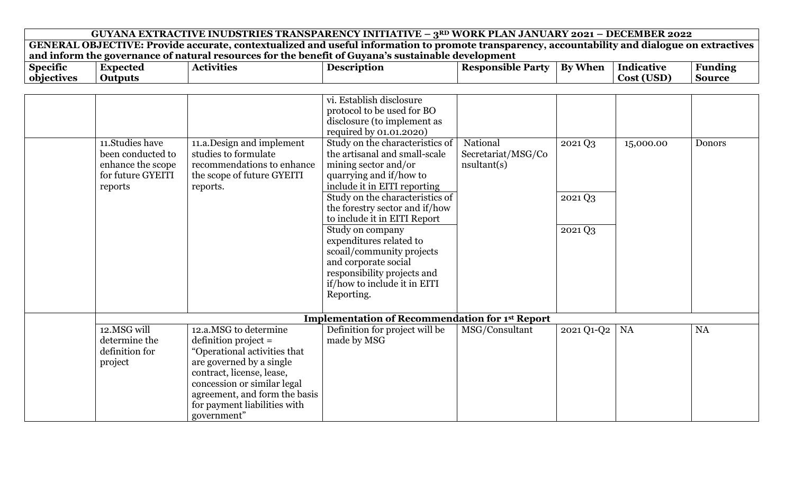|                 |                                                                                            | GUYANA EXTRACTIVE INUDSTRIES TRANSPARENCY INITIATIVE - 3RD WORK PLAN JANUARY 2021 - DECEMBER 2022                                                                                                                                                       |                                                                                                                                                                                                                                                                                                                                                                                                                                                                                                                                                               |                                                     |                               |                   |                |
|-----------------|--------------------------------------------------------------------------------------------|---------------------------------------------------------------------------------------------------------------------------------------------------------------------------------------------------------------------------------------------------------|---------------------------------------------------------------------------------------------------------------------------------------------------------------------------------------------------------------------------------------------------------------------------------------------------------------------------------------------------------------------------------------------------------------------------------------------------------------------------------------------------------------------------------------------------------------|-----------------------------------------------------|-------------------------------|-------------------|----------------|
|                 |                                                                                            | GENERAL OBJECTIVE: Provide accurate, contextualized and useful information to promote transparency, accountability and dialogue on extractives                                                                                                          |                                                                                                                                                                                                                                                                                                                                                                                                                                                                                                                                                               |                                                     |                               |                   |                |
|                 |                                                                                            | and inform the governance of natural resources for the benefit of Guyana's sustainable development                                                                                                                                                      |                                                                                                                                                                                                                                                                                                                                                                                                                                                                                                                                                               |                                                     |                               |                   |                |
| <b>Specific</b> | <b>Expected</b>                                                                            | <b>Activities</b>                                                                                                                                                                                                                                       | <b>Description</b>                                                                                                                                                                                                                                                                                                                                                                                                                                                                                                                                            | <b>Responsible Party</b>                            | By When                       | <b>Indicative</b> | <b>Funding</b> |
| objectives      | <b>Outputs</b>                                                                             |                                                                                                                                                                                                                                                         |                                                                                                                                                                                                                                                                                                                                                                                                                                                                                                                                                               |                                                     |                               | Cost (USD)        | <b>Source</b>  |
|                 | 11. Studies have<br>been conducted to<br>enhance the scope<br>for future GYEITI<br>reports | 11.a.Design and implement<br>studies to formulate<br>recommendations to enhance<br>the scope of future GYEITI<br>reports.                                                                                                                               | vi. Establish disclosure<br>protocol to be used for BO<br>disclosure (to implement as<br>required by 01.01.2020)<br>Study on the characteristics of<br>the artisanal and small-scale<br>mining sector and/or<br>quarrying and if/how to<br>include it in EITI reporting<br>Study on the characteristics of<br>the forestry sector and if/how<br>to include it in EITI Report<br>Study on company<br>expenditures related to<br>scoail/community projects<br>and corporate social<br>responsibility projects and<br>if/how to include it in EITI<br>Reporting. | National<br>Secretariat/MSG/Co<br>$n$ sultant $(s)$ | 2021 Q3<br>2021 Q3<br>2021 Q3 | 15,000.00         | Donors         |
|                 |                                                                                            |                                                                                                                                                                                                                                                         |                                                                                                                                                                                                                                                                                                                                                                                                                                                                                                                                                               |                                                     |                               |                   |                |
|                 |                                                                                            |                                                                                                                                                                                                                                                         | <b>Implementation of Recommendation for 1st Report</b>                                                                                                                                                                                                                                                                                                                                                                                                                                                                                                        |                                                     |                               |                   |                |
|                 | 12.MSG will<br>determine the<br>definition for<br>project                                  | 12.a.MSG to determine<br>$definition project =$<br>"Operational activities that<br>are governed by a single<br>contract, license, lease,<br>concession or similar legal<br>agreement, and form the basis<br>for payment liabilities with<br>government" | Definition for project will be<br>made by MSG                                                                                                                                                                                                                                                                                                                                                                                                                                                                                                                 | MSG/Consultant                                      | 2021 Q1-Q2                    | NA                | <b>NA</b>      |

ा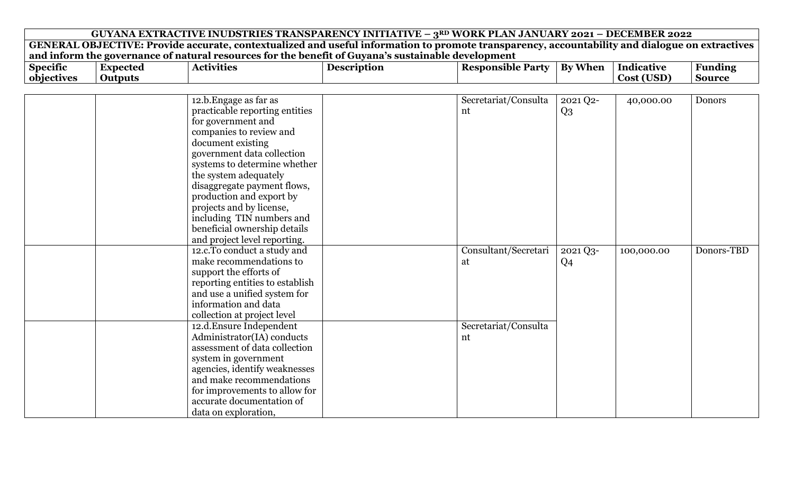| GUYANA EXTRACTIVE INUDSTRIES TRANSPARENCY INITIATIVE - $3^{RD}$ WORK PLAN JANUARY 2021 - DECEMBER 2022 |                 |                                                                                                                                                |                    |                          |                |            |                |  |  |
|--------------------------------------------------------------------------------------------------------|-----------------|------------------------------------------------------------------------------------------------------------------------------------------------|--------------------|--------------------------|----------------|------------|----------------|--|--|
|                                                                                                        |                 | GENERAL OBJECTIVE: Provide accurate, contextualized and useful information to promote transparency, accountability and dialogue on extractives |                    |                          |                |            |                |  |  |
|                                                                                                        |                 | and inform the governance of natural resources for the benefit of Guyana's sustainable development                                             |                    |                          |                |            |                |  |  |
| <b>Specific</b>                                                                                        | <b>Expected</b> | <b>Activities</b>                                                                                                                              | <b>Description</b> | <b>Responsible Party</b> | <b>By When</b> | Indicative | <b>Funding</b> |  |  |
| objectives                                                                                             | <b>Outputs</b>  |                                                                                                                                                |                    |                          |                | Cost (USD) | <b>Source</b>  |  |  |
|                                                                                                        |                 |                                                                                                                                                |                    |                          |                |            |                |  |  |
|                                                                                                        |                 | 12.b. Engage as far as                                                                                                                         |                    | Secretariat/Consulta     | 2021 Q2-       | 40,000.00  | <b>Donors</b>  |  |  |
|                                                                                                        |                 | practicable reporting entities                                                                                                                 |                    | nt                       | $Q_3$          |            |                |  |  |
|                                                                                                        |                 | for government and                                                                                                                             |                    |                          |                |            |                |  |  |
|                                                                                                        |                 | companies to review and                                                                                                                        |                    |                          |                |            |                |  |  |
|                                                                                                        |                 | document existing                                                                                                                              |                    |                          |                |            |                |  |  |
|                                                                                                        |                 | government data collection                                                                                                                     |                    |                          |                |            |                |  |  |
|                                                                                                        |                 | systems to determine whether                                                                                                                   |                    |                          |                |            |                |  |  |
|                                                                                                        |                 | the system adequately                                                                                                                          |                    |                          |                |            |                |  |  |
|                                                                                                        |                 | disaggregate payment flows,                                                                                                                    |                    |                          |                |            |                |  |  |
|                                                                                                        |                 | production and export by                                                                                                                       |                    |                          |                |            |                |  |  |
|                                                                                                        |                 | projects and by license,                                                                                                                       |                    |                          |                |            |                |  |  |
|                                                                                                        |                 | including TIN numbers and                                                                                                                      |                    |                          |                |            |                |  |  |
|                                                                                                        |                 | beneficial ownership details                                                                                                                   |                    |                          |                |            |                |  |  |
|                                                                                                        |                 | and project level reporting.                                                                                                                   |                    |                          |                |            |                |  |  |
|                                                                                                        |                 | 12.c.To conduct a study and                                                                                                                    |                    | Consultant/Secretari     | 2021 Q3-       | 100,000.00 | Donors-TBD     |  |  |
|                                                                                                        |                 | make recommendations to                                                                                                                        |                    | at                       | Q <sub>4</sub> |            |                |  |  |
|                                                                                                        |                 | support the efforts of                                                                                                                         |                    |                          |                |            |                |  |  |
|                                                                                                        |                 | reporting entities to establish                                                                                                                |                    |                          |                |            |                |  |  |
|                                                                                                        |                 | and use a unified system for                                                                                                                   |                    |                          |                |            |                |  |  |
|                                                                                                        |                 | information and data                                                                                                                           |                    |                          |                |            |                |  |  |
|                                                                                                        |                 | collection at project level                                                                                                                    |                    |                          |                |            |                |  |  |
|                                                                                                        |                 | 12.d. Ensure Independent                                                                                                                       |                    | Secretariat/Consulta     |                |            |                |  |  |
|                                                                                                        |                 | Administrator(IA) conducts                                                                                                                     |                    | nt                       |                |            |                |  |  |
|                                                                                                        |                 | assessment of data collection                                                                                                                  |                    |                          |                |            |                |  |  |
|                                                                                                        |                 | system in government                                                                                                                           |                    |                          |                |            |                |  |  |
|                                                                                                        |                 | agencies, identify weaknesses                                                                                                                  |                    |                          |                |            |                |  |  |

and make recommendations for improvements to allow for accurate documentation of

data on exploration,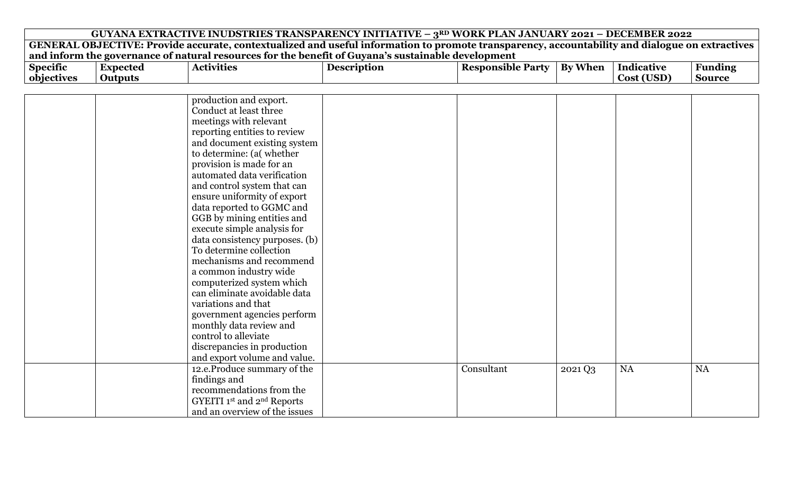| GUYANA EXTRACTIVE INUDSTRIES TRANSPARENCY INITIATIVE – $3^{RD}$ WORK PLAN JANUARY 2021 – DECEMBER 2022                                         |  |  |  |
|------------------------------------------------------------------------------------------------------------------------------------------------|--|--|--|
| GENERAL OBJECTIVE: Provide accurate, contextualized and useful information to promote transparency, accountability and dialogue on extractives |  |  |  |
| and inform the governance of natural resources for the benefit of Guyana's sustainable development                                             |  |  |  |
|                                                                                                                                                |  |  |  |

| $\bullet$<br><b>Specific</b> | Expected | Activities | Description | Responsible<br>Part<br>TIC' | .<br>Bv<br>- When- | Indicative    | Funding       |
|------------------------------|----------|------------|-------------|-----------------------------|--------------------|---------------|---------------|
| objectives                   | Outputs  |            |             |                             |                    | ∋SD).<br>Cost | <b>Source</b> |

| production and export.                 |            |         |    |    |
|----------------------------------------|------------|---------|----|----|
| Conduct at least three                 |            |         |    |    |
| meetings with relevant                 |            |         |    |    |
| reporting entities to review           |            |         |    |    |
| and document existing system           |            |         |    |    |
| to determine: (a( whether              |            |         |    |    |
| provision is made for an               |            |         |    |    |
| automated data verification            |            |         |    |    |
| and control system that can            |            |         |    |    |
| ensure uniformity of export            |            |         |    |    |
| data reported to GGMC and              |            |         |    |    |
| GGB by mining entities and             |            |         |    |    |
| execute simple analysis for            |            |         |    |    |
| data consistency purposes. (b)         |            |         |    |    |
| To determine collection                |            |         |    |    |
| mechanisms and recommend               |            |         |    |    |
| a common industry wide                 |            |         |    |    |
| computerized system which              |            |         |    |    |
| can eliminate avoidable data           |            |         |    |    |
| variations and that                    |            |         |    |    |
| government agencies perform            |            |         |    |    |
| monthly data review and                |            |         |    |    |
| control to alleviate                   |            |         |    |    |
| discrepancies in production            |            |         |    |    |
| and export volume and value.           |            |         |    |    |
| 12.e.Produce summary of the            | Consultant | 2021 Q3 | NA | NA |
| findings and                           |            |         |    |    |
| recommendations from the               |            |         |    |    |
| GYEITI 1st and 2 <sup>nd</sup> Reports |            |         |    |    |
| and an overview of the issues          |            |         |    |    |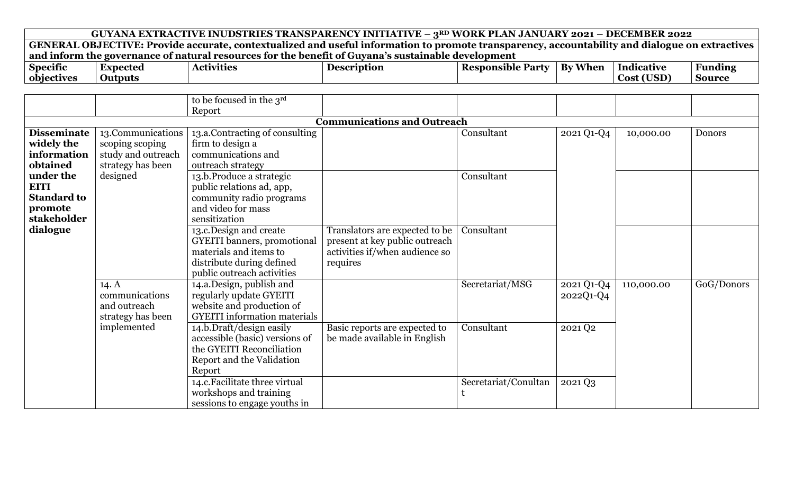|                    | GUYANA EXTRACTIVE INUDSTRIES TRANSPARENCY INITIATIVE - 3RD WORK PLAN JANUARY 2021 - DECEMBER 2022 |                                                                                                                                                |                                    |                          |            |                   |                |  |  |  |
|--------------------|---------------------------------------------------------------------------------------------------|------------------------------------------------------------------------------------------------------------------------------------------------|------------------------------------|--------------------------|------------|-------------------|----------------|--|--|--|
|                    |                                                                                                   | GENERAL OBJECTIVE: Provide accurate, contextualized and useful information to promote transparency, accountability and dialogue on extractives |                                    |                          |            |                   |                |  |  |  |
|                    |                                                                                                   | and inform the governance of natural resources for the benefit of Guyana's sustainable development                                             |                                    |                          |            |                   |                |  |  |  |
| <b>Specific</b>    | <b>Expected</b>                                                                                   | <b>Activities</b>                                                                                                                              | <b>Description</b>                 | <b>Responsible Party</b> | By When    | <b>Indicative</b> | <b>Funding</b> |  |  |  |
| objectives         | <b>Outputs</b>                                                                                    |                                                                                                                                                |                                    |                          |            | Cost (USD)        | <b>Source</b>  |  |  |  |
|                    |                                                                                                   |                                                                                                                                                |                                    |                          |            |                   |                |  |  |  |
|                    |                                                                                                   | to be focused in the 3rd                                                                                                                       |                                    |                          |            |                   |                |  |  |  |
|                    |                                                                                                   | Report                                                                                                                                         |                                    |                          |            |                   |                |  |  |  |
|                    |                                                                                                   |                                                                                                                                                | <b>Communications and Outreach</b> |                          |            |                   |                |  |  |  |
| <b>Disseminate</b> | 13.Communications                                                                                 | 13.a.Contracting of consulting                                                                                                                 |                                    | Consultant               | 2021 Q1-Q4 | 10,000.00         | <b>Donors</b>  |  |  |  |
| widely the         | scoping scoping                                                                                   | firm to design a                                                                                                                               |                                    |                          |            |                   |                |  |  |  |
| information        | study and outreach                                                                                | communications and                                                                                                                             |                                    |                          |            |                   |                |  |  |  |
| obtained           | strategy has been                                                                                 | outreach strategy                                                                                                                              |                                    |                          |            |                   |                |  |  |  |
| under the          | designed                                                                                          | 13.b.Produce a strategic                                                                                                                       |                                    | Consultant               |            |                   |                |  |  |  |
| <b>EITI</b>        |                                                                                                   | public relations ad, app,                                                                                                                      |                                    |                          |            |                   |                |  |  |  |
| <b>Standard to</b> |                                                                                                   | community radio programs                                                                                                                       |                                    |                          |            |                   |                |  |  |  |
| promote            |                                                                                                   | and video for mass                                                                                                                             |                                    |                          |            |                   |                |  |  |  |
| stakeholder        |                                                                                                   | sensitization                                                                                                                                  |                                    |                          |            |                   |                |  |  |  |
| dialogue           |                                                                                                   | 13.c.Design and create                                                                                                                         | Translators are expected to be     | Consultant               |            |                   |                |  |  |  |
|                    |                                                                                                   | <b>GYEITI</b> banners, promotional                                                                                                             | present at key public outreach     |                          |            |                   |                |  |  |  |
|                    |                                                                                                   | materials and items to                                                                                                                         | activities if/when audience so     |                          |            |                   |                |  |  |  |
|                    |                                                                                                   | distribute during defined                                                                                                                      | requires                           |                          |            |                   |                |  |  |  |
|                    |                                                                                                   | public outreach activities                                                                                                                     |                                    |                          |            |                   |                |  |  |  |
|                    | 14.A                                                                                              | 14.a.Design, publish and                                                                                                                       |                                    | Secretariat/MSG          | 2021 Q1-Q4 | 110,000.00        | GoG/Donors     |  |  |  |
|                    | communications                                                                                    | regularly update GYEITI                                                                                                                        |                                    |                          | 2022Q1-Q4  |                   |                |  |  |  |
|                    | and outreach                                                                                      | website and production of                                                                                                                      |                                    |                          |            |                   |                |  |  |  |
|                    | strategy has been                                                                                 | <b>GYEITI</b> information materials                                                                                                            |                                    |                          |            |                   |                |  |  |  |
|                    | implemented                                                                                       | 14.b.Draft/design easily                                                                                                                       | Basic reports are expected to      | Consultant               | 2021 Q2    |                   |                |  |  |  |
|                    |                                                                                                   | accessible (basic) versions of                                                                                                                 | be made available in English       |                          |            |                   |                |  |  |  |
|                    |                                                                                                   | the GYEITI Reconciliation                                                                                                                      |                                    |                          |            |                   |                |  |  |  |
|                    |                                                                                                   | Report and the Validation                                                                                                                      |                                    |                          |            |                   |                |  |  |  |
|                    |                                                                                                   | Report                                                                                                                                         |                                    |                          |            |                   |                |  |  |  |
|                    |                                                                                                   | 14.c. Facilitate three virtual                                                                                                                 |                                    | Secretariat/Conultan     | 2021 Q3    |                   |                |  |  |  |
|                    |                                                                                                   | workshops and training                                                                                                                         |                                    |                          |            |                   |                |  |  |  |
|                    |                                                                                                   | sessions to engage youths in                                                                                                                   |                                    |                          |            |                   |                |  |  |  |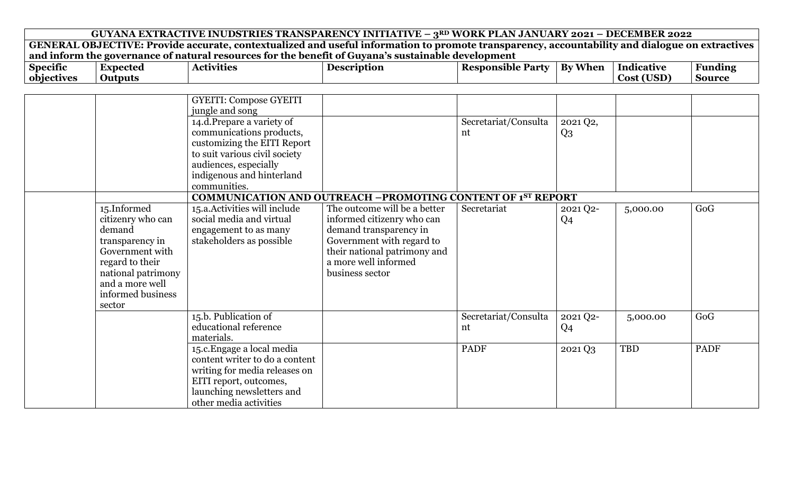|                 | GUYANA EXTRACTIVE INUDSTRIES TRANSPARENCY INITIATIVE - 3RD WORK PLAN JANUARY 2021 - DECEMBER 2022 |                                                                                                                                                |                                                                    |                          |                |                   |                |  |  |  |
|-----------------|---------------------------------------------------------------------------------------------------|------------------------------------------------------------------------------------------------------------------------------------------------|--------------------------------------------------------------------|--------------------------|----------------|-------------------|----------------|--|--|--|
|                 |                                                                                                   | GENERAL OBJECTIVE: Provide accurate, contextualized and useful information to promote transparency, accountability and dialogue on extractives |                                                                    |                          |                |                   |                |  |  |  |
|                 |                                                                                                   | and inform the governance of natural resources for the benefit of Guyana's sustainable development                                             |                                                                    |                          |                |                   |                |  |  |  |
| <b>Specific</b> | <b>Expected</b>                                                                                   | <b>Activities</b>                                                                                                                              | <b>Description</b>                                                 | <b>Responsible Party</b> | <b>By When</b> | <b>Indicative</b> | <b>Funding</b> |  |  |  |
| objectives      | <b>Outputs</b>                                                                                    |                                                                                                                                                |                                                                    |                          |                | Cost (USD)        | <b>Source</b>  |  |  |  |
|                 |                                                                                                   |                                                                                                                                                |                                                                    |                          |                |                   |                |  |  |  |
|                 |                                                                                                   | <b>GYEITI: Compose GYEITI</b>                                                                                                                  |                                                                    |                          |                |                   |                |  |  |  |
|                 |                                                                                                   | jungle and song                                                                                                                                |                                                                    |                          |                |                   |                |  |  |  |
|                 |                                                                                                   | 14.d.Prepare a variety of                                                                                                                      |                                                                    | Secretariat/Consulta     | 2021 Q2,       |                   |                |  |  |  |
|                 |                                                                                                   | communications products,                                                                                                                       |                                                                    | nt                       | $Q_3$          |                   |                |  |  |  |
|                 |                                                                                                   | customizing the EITI Report                                                                                                                    |                                                                    |                          |                |                   |                |  |  |  |
|                 |                                                                                                   | to suit various civil society                                                                                                                  |                                                                    |                          |                |                   |                |  |  |  |
|                 |                                                                                                   | audiences, especially                                                                                                                          |                                                                    |                          |                |                   |                |  |  |  |
|                 |                                                                                                   | indigenous and hinterland                                                                                                                      |                                                                    |                          |                |                   |                |  |  |  |
|                 |                                                                                                   | communities.                                                                                                                                   |                                                                    |                          |                |                   |                |  |  |  |
|                 |                                                                                                   |                                                                                                                                                | <b>COMMUNICATION AND OUTREACH -PROMOTING CONTENT OF 1ST REPORT</b> |                          |                |                   |                |  |  |  |
|                 | 15.Informed                                                                                       | 15.a. Activities will include                                                                                                                  | The outcome will be a better                                       | Secretariat              | 2021 Q2-       | 5,000.00          | GoG            |  |  |  |
|                 | citizenry who can                                                                                 | social media and virtual                                                                                                                       | informed citizenry who can                                         |                          | Q <sub>4</sub> |                   |                |  |  |  |
|                 | demand                                                                                            | engagement to as many                                                                                                                          | demand transparency in                                             |                          |                |                   |                |  |  |  |
|                 | transparency in                                                                                   | stakeholders as possible                                                                                                                       | Government with regard to                                          |                          |                |                   |                |  |  |  |
|                 | Government with                                                                                   |                                                                                                                                                | their national patrimony and                                       |                          |                |                   |                |  |  |  |
|                 | regard to their                                                                                   |                                                                                                                                                | a more well informed                                               |                          |                |                   |                |  |  |  |
|                 | national patrimony                                                                                |                                                                                                                                                | business sector                                                    |                          |                |                   |                |  |  |  |
|                 | and a more well                                                                                   |                                                                                                                                                |                                                                    |                          |                |                   |                |  |  |  |
|                 | informed business                                                                                 |                                                                                                                                                |                                                                    |                          |                |                   |                |  |  |  |
|                 | sector                                                                                            |                                                                                                                                                |                                                                    |                          |                |                   |                |  |  |  |
|                 |                                                                                                   | 15.b. Publication of                                                                                                                           |                                                                    | Secretariat/Consulta     | 2021 Q2-       | 5,000.00          | GoG            |  |  |  |
|                 |                                                                                                   | educational reference                                                                                                                          |                                                                    | nt                       | Q <sub>4</sub> |                   |                |  |  |  |
|                 |                                                                                                   | materials.                                                                                                                                     |                                                                    |                          |                |                   |                |  |  |  |
|                 |                                                                                                   | 15.c. Engage a local media                                                                                                                     |                                                                    | <b>PADF</b>              | 2021 Q3        | TBD               | <b>PADF</b>    |  |  |  |
|                 |                                                                                                   | content writer to do a content                                                                                                                 |                                                                    |                          |                |                   |                |  |  |  |
|                 |                                                                                                   | writing for media releases on                                                                                                                  |                                                                    |                          |                |                   |                |  |  |  |
|                 |                                                                                                   | EITI report, outcomes,                                                                                                                         |                                                                    |                          |                |                   |                |  |  |  |
|                 |                                                                                                   | launching newsletters and                                                                                                                      |                                                                    |                          |                |                   |                |  |  |  |
|                 |                                                                                                   | other media activities                                                                                                                         |                                                                    |                          |                |                   |                |  |  |  |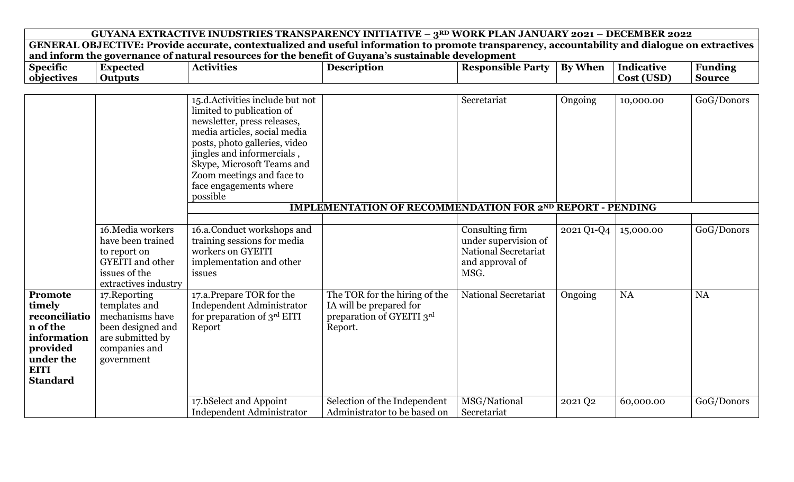|                 |                                         | GUYANA EXTRACTIVE INUDSTRIES TRANSPARENCY INITIATIVE - 3RD WORK PLAN JANUARY 2021 - DECEMBER 2022                                              |                                                                  |                                              |                |                   |                |
|-----------------|-----------------------------------------|------------------------------------------------------------------------------------------------------------------------------------------------|------------------------------------------------------------------|----------------------------------------------|----------------|-------------------|----------------|
|                 |                                         | GENERAL OBJECTIVE: Provide accurate, contextualized and useful information to promote transparency, accountability and dialogue on extractives |                                                                  |                                              |                |                   |                |
|                 |                                         | and inform the governance of natural resources for the benefit of Guyana's sustainable development                                             |                                                                  |                                              |                |                   |                |
| <b>Specific</b> | <b>Expected</b>                         | <b>Activities</b>                                                                                                                              | <b>Description</b>                                               | <b>Responsible Party</b>                     | <b>By When</b> | <b>Indicative</b> | <b>Funding</b> |
| objectives      | <b>Outputs</b>                          |                                                                                                                                                |                                                                  |                                              |                | Cost (USD)        | <b>Source</b>  |
|                 |                                         |                                                                                                                                                |                                                                  |                                              |                |                   |                |
|                 |                                         | 15.d. Activities include but not                                                                                                               |                                                                  | Secretariat                                  | Ongoing        | 10,000.00         | GoG/Donors     |
|                 |                                         | limited to publication of                                                                                                                      |                                                                  |                                              |                |                   |                |
|                 |                                         | newsletter, press releases,                                                                                                                    |                                                                  |                                              |                |                   |                |
|                 |                                         | media articles, social media                                                                                                                   |                                                                  |                                              |                |                   |                |
|                 |                                         | posts, photo galleries, video                                                                                                                  |                                                                  |                                              |                |                   |                |
|                 |                                         | jingles and informercials,                                                                                                                     |                                                                  |                                              |                |                   |                |
|                 |                                         | Skype, Microsoft Teams and                                                                                                                     |                                                                  |                                              |                |                   |                |
|                 |                                         | Zoom meetings and face to                                                                                                                      |                                                                  |                                              |                |                   |                |
|                 |                                         | face engagements where                                                                                                                         |                                                                  |                                              |                |                   |                |
|                 |                                         | possible                                                                                                                                       |                                                                  |                                              |                |                   |                |
|                 |                                         |                                                                                                                                                | <b>IMPLEMENTATION OF RECOMMENDATION FOR 2ND REPORT - PENDING</b> |                                              |                |                   |                |
|                 | 16. Media workers                       |                                                                                                                                                |                                                                  |                                              |                |                   |                |
|                 |                                         | 16.a.Conduct workshops and                                                                                                                     |                                                                  | Consulting firm                              | 2021 Q1-Q4     | 15,000.00         | GoG/Donors     |
|                 | have been trained                       | training sessions for media<br>workers on GYEITI                                                                                               |                                                                  | under supervision of<br>National Secretariat |                |                   |                |
|                 | to report on<br><b>GYEITI</b> and other | implementation and other                                                                                                                       |                                                                  | and approval of                              |                |                   |                |
|                 | issues of the                           | issues                                                                                                                                         |                                                                  | MSG.                                         |                |                   |                |
|                 | extractives industry                    |                                                                                                                                                |                                                                  |                                              |                |                   |                |
| Promote         | 17. Reporting                           | 17.a.Prepare TOR for the                                                                                                                       | The TOR for the hiring of the                                    | <b>National Secretariat</b>                  | Ongoing        | <b>NA</b>         | <b>NA</b>      |
| timely          | templates and                           | <b>Independent Administrator</b>                                                                                                               | IA will be prepared for                                          |                                              |                |                   |                |
| reconciliatio   | mechanisms have                         | for preparation of 3rd EITI                                                                                                                    | preparation of GYEITI 3rd                                        |                                              |                |                   |                |
| n of the        | been designed and                       | Report                                                                                                                                         | Report.                                                          |                                              |                |                   |                |
| information     | are submitted by                        |                                                                                                                                                |                                                                  |                                              |                |                   |                |
| provided        | companies and                           |                                                                                                                                                |                                                                  |                                              |                |                   |                |
| under the       | government                              |                                                                                                                                                |                                                                  |                                              |                |                   |                |
| <b>EITI</b>     |                                         |                                                                                                                                                |                                                                  |                                              |                |                   |                |
| <b>Standard</b> |                                         |                                                                                                                                                |                                                                  |                                              |                |                   |                |
|                 |                                         |                                                                                                                                                |                                                                  |                                              |                |                   |                |
|                 |                                         | 17.bSelect and Appoint                                                                                                                         | Selection of the Independent                                     | MSG/National                                 | 2021 Q2        | 60,000.00         | GoG/Donors     |
|                 |                                         | <b>Independent Administrator</b>                                                                                                               | Administrator to be based on                                     | Secretariat                                  |                |                   |                |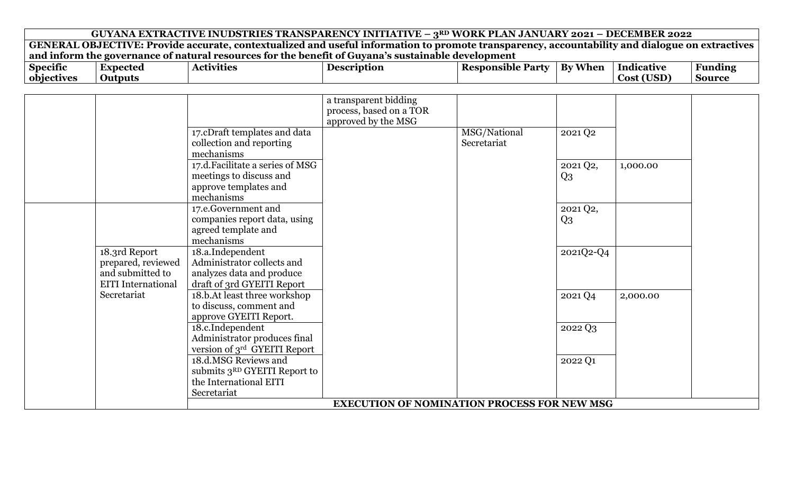| $\bullet$<br><b>Specific</b> | Expected | <b>Activities</b> | <b>Description</b> | <b>Responsible Party</b> | — . <del>- 1</del><br><b>By When</b> | .<br>Indicative | Funding |
|------------------------------|----------|-------------------|--------------------|--------------------------|--------------------------------------|-----------------|---------|
| objectives                   | Outputs  |                   |                    |                          |                                      | Cost (USD)      | Source  |

|                           |                                          | a transparent bidding                              |              |           |          |  |
|---------------------------|------------------------------------------|----------------------------------------------------|--------------|-----------|----------|--|
|                           |                                          | process, based on a TOR                            |              |           |          |  |
|                           |                                          | approved by the MSG                                |              |           |          |  |
|                           | 17.cDraft templates and data             |                                                    | MSG/National | 2021 Q2   |          |  |
|                           | collection and reporting                 |                                                    | Secretariat  |           |          |  |
|                           | mechanisms                               |                                                    |              |           |          |  |
|                           | 17.d. Facilitate a series of MSG         |                                                    |              | 2021 Q2,  | 1,000.00 |  |
|                           | meetings to discuss and                  |                                                    |              | $Q_3$     |          |  |
|                           | approve templates and                    |                                                    |              |           |          |  |
|                           | mechanisms                               |                                                    |              |           |          |  |
|                           | 17.e.Government and                      |                                                    |              | 2021 Q2,  |          |  |
|                           | companies report data, using             |                                                    |              | $Q_3$     |          |  |
|                           | agreed template and                      |                                                    |              |           |          |  |
|                           | mechanisms                               |                                                    |              |           |          |  |
| 18.3rd Report             | 18.a.Independent                         |                                                    |              | 2021Q2-Q4 |          |  |
| prepared, reviewed        | Administrator collects and               |                                                    |              |           |          |  |
| and submitted to          | analyzes data and produce                |                                                    |              |           |          |  |
| <b>EITI</b> International | draft of 3rd GYEITI Report               |                                                    |              |           |          |  |
| Secretariat               | 18.b.At least three workshop             |                                                    |              | 2021 Q4   | 2,000.00 |  |
|                           | to discuss, comment and                  |                                                    |              |           |          |  |
|                           | approve GYEITI Report.                   |                                                    |              |           |          |  |
|                           | 18.c.Independent                         |                                                    |              | 2022 Q3   |          |  |
|                           | Administrator produces final             |                                                    |              |           |          |  |
|                           | version of 3rd GYEITI Report             |                                                    |              |           |          |  |
|                           | 18.d.MSG Reviews and                     |                                                    |              | 2022 Q1   |          |  |
|                           | submits 3 <sup>RD</sup> GYEITI Report to |                                                    |              |           |          |  |
|                           | the International EITI                   |                                                    |              |           |          |  |
|                           | Secretariat                              |                                                    |              |           |          |  |
|                           |                                          | <b>EXECUTION OF NOMINATION PROCESS FOR NEW MSG</b> |              |           |          |  |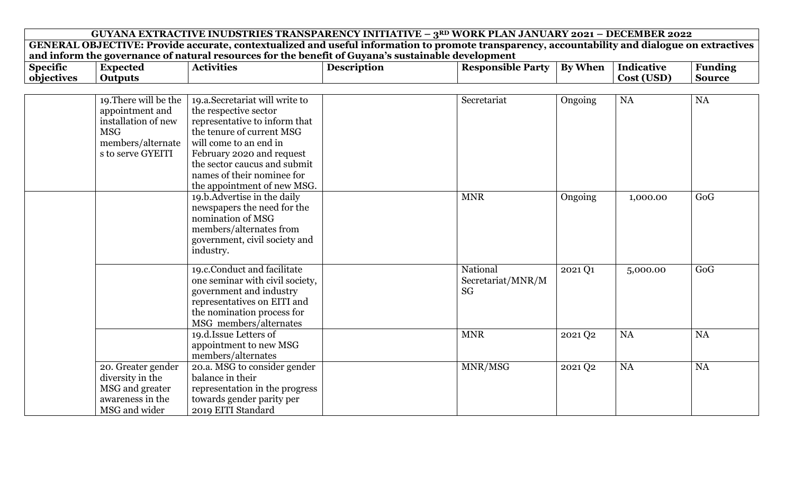| GUYANA EXTRACTIVE INUDSTRIES TRANSPARENCY INITIATIVE - 3RD WORK PLAN JANUARY 2021 - DECEMBER 2022                                                |                |  |  |  |  |  |  |  |  |
|--------------------------------------------------------------------------------------------------------------------------------------------------|----------------|--|--|--|--|--|--|--|--|
| GENERAL OBJECTIVE: Provide accurate, contextualized and useful information to promote transparency, accountability and dialogue on extractives   |                |  |  |  |  |  |  |  |  |
| and inform the governance of natural resources for the benefit of Guyana's sustainable development                                               |                |  |  |  |  |  |  |  |  |
| <b>Responsible Party</b><br><b>By When</b><br><b>Description</b><br><b>Indicative</b><br><b>Specific</b><br><b>Expected</b><br><b>Activities</b> | <b>Funding</b> |  |  |  |  |  |  |  |  |
| objectives<br>Cost (USD)<br><b>Outputs</b>                                                                                                       | <b>Source</b>  |  |  |  |  |  |  |  |  |
|                                                                                                                                                  |                |  |  |  |  |  |  |  |  |
| 19. There will be the<br>19.a.Secretariat will write to<br><b>NA</b><br>Secretariat<br>Ongoing                                                   | <b>NA</b>      |  |  |  |  |  |  |  |  |
| appointment and<br>the respective sector                                                                                                         |                |  |  |  |  |  |  |  |  |
| installation of new<br>representative to inform that                                                                                             |                |  |  |  |  |  |  |  |  |
| the tenure of current MSG<br><b>MSG</b>                                                                                                          |                |  |  |  |  |  |  |  |  |
| members/alternate<br>will come to an end in                                                                                                      |                |  |  |  |  |  |  |  |  |
| s to serve GYEITI<br>February 2020 and request                                                                                                   |                |  |  |  |  |  |  |  |  |
| the sector caucus and submit                                                                                                                     |                |  |  |  |  |  |  |  |  |
| names of their nominee for                                                                                                                       |                |  |  |  |  |  |  |  |  |
| the appointment of new MSG.                                                                                                                      |                |  |  |  |  |  |  |  |  |
| <b>MNR</b><br>19.b.Advertise in the daily<br>Ongoing<br>1,000.00                                                                                 | GoG            |  |  |  |  |  |  |  |  |
| newspapers the need for the                                                                                                                      |                |  |  |  |  |  |  |  |  |
| nomination of MSG                                                                                                                                |                |  |  |  |  |  |  |  |  |
| members/alternates from                                                                                                                          |                |  |  |  |  |  |  |  |  |
| government, civil society and                                                                                                                    |                |  |  |  |  |  |  |  |  |
| industry.                                                                                                                                        |                |  |  |  |  |  |  |  |  |
| 19.c.Conduct and facilitate<br>National<br>2021 Q1<br>5,000.00                                                                                   | GoG            |  |  |  |  |  |  |  |  |
| one seminar with civil society,<br>Secretariat/MNR/M                                                                                             |                |  |  |  |  |  |  |  |  |
| <b>SG</b><br>government and industry                                                                                                             |                |  |  |  |  |  |  |  |  |
| representatives on EITI and                                                                                                                      |                |  |  |  |  |  |  |  |  |
| the nomination process for                                                                                                                       |                |  |  |  |  |  |  |  |  |
| MSG members/alternates                                                                                                                           |                |  |  |  |  |  |  |  |  |
| 19.d. Issue Letters of<br><b>MNR</b><br><b>NA</b><br>2021 Q2                                                                                     | <b>NA</b>      |  |  |  |  |  |  |  |  |
| appointment to new MSG                                                                                                                           |                |  |  |  |  |  |  |  |  |
| members/alternates                                                                                                                               |                |  |  |  |  |  |  |  |  |
| MNR/MSG<br>20.a. MSG to consider gender<br><b>NA</b><br>20. Greater gender<br>2021 Q2                                                            | NA             |  |  |  |  |  |  |  |  |
| diversity in the<br>balance in their                                                                                                             |                |  |  |  |  |  |  |  |  |
| MSG and greater<br>representation in the progress                                                                                                |                |  |  |  |  |  |  |  |  |
| towards gender parity per<br>awareness in the                                                                                                    |                |  |  |  |  |  |  |  |  |
| MSG and wider<br>2019 EITI Standard                                                                                                              |                |  |  |  |  |  |  |  |  |